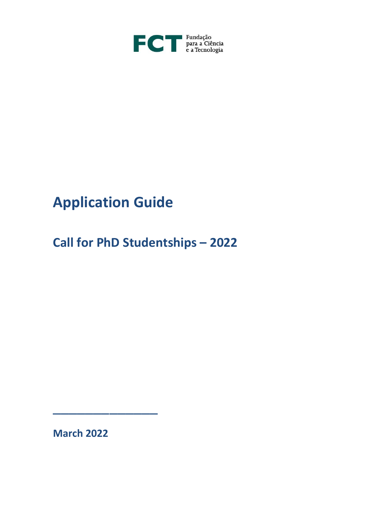

## **Application Guide**

**Call for PhD Studentships – 2022**

**March 2022**

\_\_\_\_\_\_\_\_\_\_\_\_\_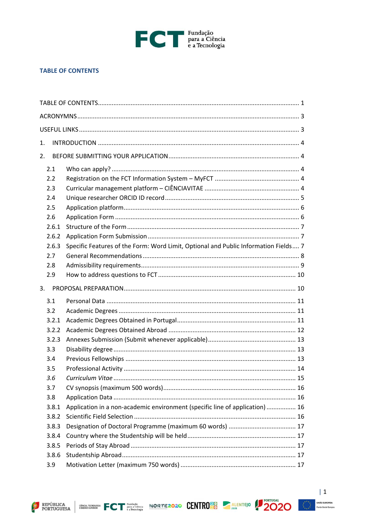

#### <span id="page-1-0"></span>**TABLE OF CONTENTS**

| 1.    |                                                                                     |  |
|-------|-------------------------------------------------------------------------------------|--|
| 2.    |                                                                                     |  |
| 2.1   |                                                                                     |  |
| 2.2   |                                                                                     |  |
| 2.3   |                                                                                     |  |
| 2.4   |                                                                                     |  |
| 2.5   |                                                                                     |  |
| 2.6   |                                                                                     |  |
| 2.6.1 |                                                                                     |  |
| 2.6.2 |                                                                                     |  |
| 2.6.3 | Specific Features of the Form: Word Limit, Optional and Public Information Fields 7 |  |
| 2.7   |                                                                                     |  |
| 2.8   |                                                                                     |  |
| 2.9   |                                                                                     |  |
| 3.    |                                                                                     |  |
| 3.1   |                                                                                     |  |
| 3.2   |                                                                                     |  |
| 3.2.1 |                                                                                     |  |
| 3.2.2 |                                                                                     |  |
| 3.2.3 |                                                                                     |  |
| 3.3   |                                                                                     |  |
| 3.4   |                                                                                     |  |
| 3.5   |                                                                                     |  |
| 3.6   |                                                                                     |  |
| 3.7   |                                                                                     |  |
| 3.8   |                                                                                     |  |
| 3.8.1 | Application in a non-academic environment (specific line of application)  16        |  |
| 3.8.2 |                                                                                     |  |
| 3.8.3 |                                                                                     |  |
| 3.8.4 |                                                                                     |  |
| 3.8.5 |                                                                                     |  |
| 3.8.6 |                                                                                     |  |
| 3.9   |                                                                                     |  |





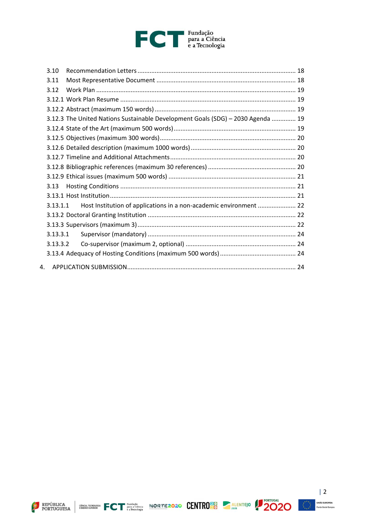# FCT Fundação<br>
e a Tecnologia

|                | 3.10     |                                                                                 |  |
|----------------|----------|---------------------------------------------------------------------------------|--|
|                | 3.11     |                                                                                 |  |
|                | 3.12     |                                                                                 |  |
|                |          |                                                                                 |  |
|                |          |                                                                                 |  |
|                |          | 3.12.3 The United Nations Sustainable Development Goals (SDG) - 2030 Agenda  19 |  |
|                |          |                                                                                 |  |
|                |          |                                                                                 |  |
|                |          |                                                                                 |  |
|                |          |                                                                                 |  |
|                |          |                                                                                 |  |
|                |          |                                                                                 |  |
|                | 3.13     |                                                                                 |  |
|                |          |                                                                                 |  |
|                | 3.13.1.1 | Host Institution of applications in a non-academic environment  22              |  |
|                |          |                                                                                 |  |
|                |          |                                                                                 |  |
|                | 3.13.3.1 |                                                                                 |  |
|                | 3.13.3.2 |                                                                                 |  |
|                |          |                                                                                 |  |
| $\mathbf{4}$ . |          |                                                                                 |  |
|                |          |                                                                                 |  |









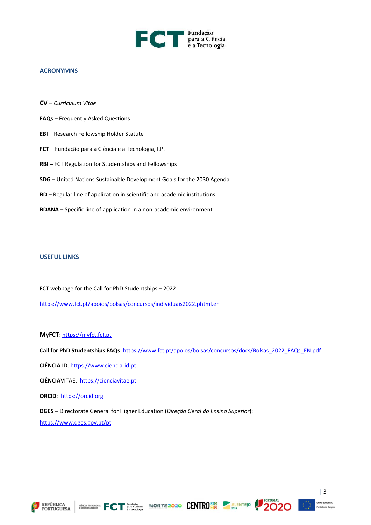

#### <span id="page-3-0"></span>**ACRONYMNS**

- **CV** *Curriculum Vitae*
- **FAQs** Frequently Asked Questions
- **EBI** Research Fellowship Holder Statute
- **FCT** Fundação para a Ciência e a Tecnologia, I.P.
- **RBI –** FCT Regulation for Studentships and Fellowships
- **SDG** United Nations Sustainable Development Goals for the 2030 Agenda
- **BD** Regular line of application in scientific and academic institutions
- **BDANA** Specific line of application in a non-academic environment

#### <span id="page-3-1"></span>**USEFUL LINKS**

FCT webpage for the Call for PhD Studentships – 2022: <https://www.fct.pt/apoios/bolsas/concursos/individuais2022.phtml.en>

#### **MyFCT**: [https://myfct.fct.pt](https://myfct.fct.pt/)

Call for PhD Studentships FAQs: [https://www.fct.pt/apoios/bolsas/concursos/docs/Bolsas\\_2022\\_FAQs\\_EN.pdf](https://www.fct.pt/apoios/bolsas/concursos/docs/Bolsas_2022_FAQs_EN.pdf)

**CIÊNCIA** ID: [https://www.ciencia-id.pt](https://www.ciencia-id.pt/)

**CIÊNCIA**VITAE: [https://cienciavitae.pt](https://cienciavitae.pt/)

**ORCID**: [https://orcid.org](https://orcid.org/)

**DGES** – Directorate General for Higher Education (*Direção Geral do Ensino Superior*): <https://www.dges.gov.pt/pt>









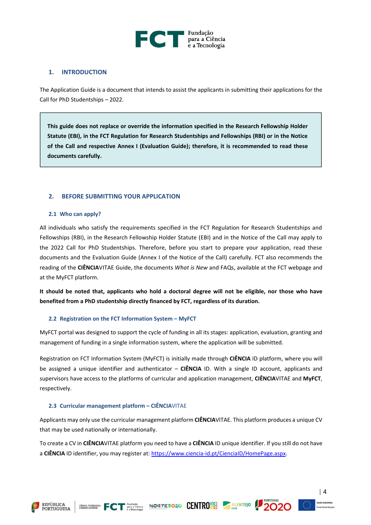

#### <span id="page-4-0"></span>**1. INTRODUCTION**

The Application Guide is a document that intends to assist the applicants in submitting their applications for the Call for PhD Studentships – 2022.

**This guide does not replace or override the information specified in the Research Fellowship Holder Statute (EBI), in the FCT Regulation for Research Studentships and Fellowships (RBI) or in the Notice of the Call and respective Annex I (Evaluation Guide); therefore, it is recommended to read these documents carefully.**

#### <span id="page-4-1"></span>**2. BEFORE SUBMITTING YOUR APPLICATION**

#### <span id="page-4-2"></span>**2.1 Who can apply?**

All individuals who satisfy the requirements specified in the FCT Regulation for Research Studentships and Fellowships (RBI), in the Research Fellowship Holder Statute (EBI) and in the Notice of the Call may apply to the 2022 Call for PhD Studentships. Therefore, before you start to prepare your application, read these documents and the Evaluation Guide (Annex I of the Notice of the Call) carefully. FCT also recommends the reading of the **CIÊNCIA**VITAE Guide, the documents *What is New* and FAQs, available at the FCT webpage and at the MyFCT platform.

**It should be noted that, applicants who hold a doctoral degree will not be eligible, nor those who have benefited from a PhD studentship directly financed by FCT, regardless of its duration.**

#### <span id="page-4-3"></span>**2.2 Registration on the FCT Information System – MyFCT**

MyFCT portal was designed to support the cycle of funding in all its stages: application, evaluation, granting and management of funding in a single information system, where the application will be submitted.

Registration on FCT Information System (MyFCT) is initially made through **CIÊNCIA** ID platform, where you will be assigned a unique identifier and authenticator – **CIÊNCIA** ID. With a single ID account, applicants and supervisors have access to the platforms of curricular and application management, **CIÊNCIA**VITAE and **MyFCT**, respectively.

#### <span id="page-4-4"></span>**2.3 Curricular management platform – CIÊNCIA**VITAE

Applicants may only use the curricular management platform **CIÊNCIA**VITAE. This platform produces a unique CV that may be used nationally or internationally.

To create a CV in **CIÊNCIA**VITAE platform you need to have a **CIÊNCIA** ID unique identifier. If you still do not have a **CIÊNCIA** ID identifier, you may register at: [https://www.ciencia-id.pt/CienciaID/HomePage.aspx.](https://www.ciencia-id.pt/CienciaID/HomePage.aspx)

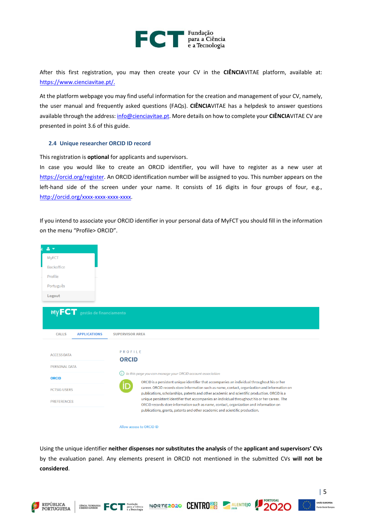

After this first registration, you may then create your CV in the **CIÊNCIA**VITAE platform, available at: [https://www.cienciavitae.pt/.](https://www.cienciavitae.pt/)

At the platform webpage you may find useful information for the creation and management of your CV, namely, the user manual and frequently asked questions (FAQs). **CIÊNCIA**VITAE has a helpdesk to answer questions available through the address: [info@cienciavitae.pt.](mailto:info@cienciavitae.pt) More details on how to complete your **CIÊNCIA**VITAE CV are presented in point 3.6 of this guide.

#### <span id="page-5-0"></span>**2.4 Unique researcher ORCID ID record**

This registration is **optional** for applicants and supervisors.

In case you would like to create an ORCID identifier, you will have to register as a new user at [https://orcid.org/register.](https://orcid.org/register) An ORCID identification number will be assigned to you. This number appears on the left-hand side of the screen under your name. It consists of 16 digits in four groups of four, e.g., [http://orcid.org/xxxx-xxxx-xxxx-xxxx.](http://orcid.org/xxxx-xxxx-xxxx-xxxx)

If you intend to associate your ORCID identifier in your personal data of MyFCT you should fill in the information on the menu "Profile> ORCID".



Allow access to ORCID ID

 $\overbrace{\text{EWHM}}^{\text{CHMOLA, TECMOLOGLA}}_{\text{EWHMON}}$ 

Using the unique identifier **neither dispenses nor substitutes the analysis** of the **applicant and supervisors' CVs** by the evaluation panel. Any elements present in ORCID not mentioned in the submitted CVs **will not be considered**.

NORTE2020 CENTRO<sup>20</sup> ALENTEJO



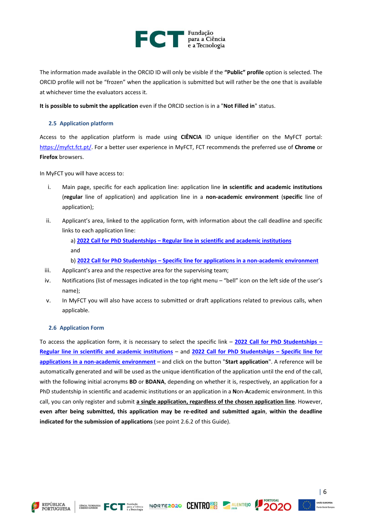

The information made available in the ORCID ID will only be visible if the **"Public" profile** option is selected. The ORCID profile will not be "frozen" when the application is submitted but will rather be the one that is available at whichever time the evaluators access it.

<span id="page-6-0"></span>**It is possible to submit the application** even if the ORCID section is in a "**Not Filled in**" status.

#### **2.5 Application platform**

Access to the application platform is made using **CIÊNCIA** ID unique identifier on the MyFCT portal: [https://myfct.fct.pt/.](https://myfct.fct.pt/) For a better user experience in MyFCT, FCT recommends the preferred use of **Chrome** or **Firefox** browsers.

In MyFCT you will have access to:

- i. Main page, specific for each application line: application line **in scientific and academic institutions** (**regular** line of application) and application line in a **non-academic environment** (**specific** line of application);
- ii. Applicant's area, linked to the application form, with information about the call deadline and specific links to each application line:

a) **2022 Call for PhD Studentships – [Regular line in scientific and academic institutions](https://myfct.fct.pt/CallDetail.aspx?CallId=18)** and

b) **2022 Call for PhD Studentships – [Specific line for applications in a non-academic environment](https://myfct.fct.pt/CallDetail.aspx?CallId=17)**

- iii. Applicant's area and the respective area for the supervising team;
- iv. Notifications (list of messages indicated in the top right menu "bell" icon on the left side of the user's name);
- v. In MyFCT you will also have access to submitted or draft applications related to previous calls, when applicable.

#### <span id="page-6-1"></span>**2.6 Application Form**

To access the application form, it is necessary to select the specific link – **[2022 Call for PhD Studentships](https://myfct.fct.pt/MyFCT/CallDetail.aspx?CallId=18) – [Regular line in scientific and academic institutions](https://myfct.fct.pt/MyFCT/CallDetail.aspx?CallId=18)** – and **[2022 Call for PhD Studentships](https://myfct.fct.pt/MyFCT/CallDetail.aspx?CallId=17) – Specific line for [applications in a non-academic environment](https://myfct.fct.pt/MyFCT/CallDetail.aspx?CallId=17)** – and click on the button "**Start application**". A reference will be automatically generated and will be used as the unique identification of the application until the end of the call, with the following initial acronyms **BD** or **BDANA**, depending on whether it is, respectively, an application for a PhD studentship in scientific and academic institutions or an application in a **N**on-**A**cademic environment. In this call, you can only register and submit **a single application, regardless of the chosen application line**. However, **even after being submitted, this application may be re-edited and submitted again**, **within the deadline indicated for the submission of applications** (see point 2.6.2 of this Guide).







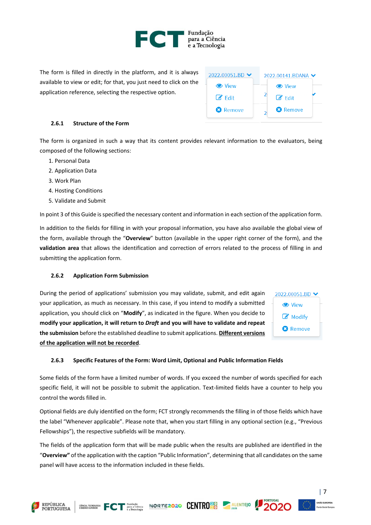

The form is filled in directly in the platform, and it is always available to view or edit; for that, you just need to click on the application reference, selecting the respective option.

| 2022.00141.BDANA V       |                    |  |
|--------------------------|--------------------|--|
|                          | <b>C</b> View      |  |
|                          | $\mathcal{A}$ Fdit |  |
| $\overline{\phantom{a}}$ | <b>3</b> Remove    |  |
|                          |                    |  |

#### <span id="page-7-0"></span>**2.6.1 Structure of the Form**

The form is organized in such a way that its content provides relevant information to the evaluators, being composed of the following sections:

- 1. Personal Data
- 2. Application Data
- 3. Work Plan
- 4. Hosting Conditions
- 5. Validate and Submit

In point 3 of this Guide is specified the necessary content and information in each section of the application form.

In addition to the fields for filling in with your proposal information, you have also available the global view of the form, available through the "**Overview**" button (available in the upper right corner of the form), and the **validation area** that allows the identification and correction of errors related to the process of filling in and submitting the application form.

#### <span id="page-7-1"></span>**2.6.2 Application Form Submission**

During the period of applications' submission you may validate, submit, and edit again your application, as much as necessary. In this case, if you intend to modify a submitted application, you should click on "**Modify**", as indicated in the figure. When you decide to **modify your application, it will return to** *Draft* **and you will have to validate and repeat the submission** before the established deadline to submit applications. **Different versions of the application will not be recorded**.



#### <span id="page-7-2"></span>**2.6.3 Specific Features of the Form: Word Limit, Optional and Public Information Fields**

Some fields of the form have a limited number of words. If you exceed the number of words specified for each specific field, it will not be possible to submit the application. Text-limited fields have a counter to help you control the words filled in.

Optional fields are duly identified on the form; FCT strongly recommends the filling in of those fields which have the label "Whenever applicable". Please note that, when you start filling in any optional section (e.g., "Previous Fellowships"), the respective subfields will be mandatory.

The fields of the application form that will be made public when the results are published are identified in the "**Overview"** of the application with the caption "Public Information", determining that all candidates on the same panel will have access to the information included in these fields.

CRISE TECHNOLOGIC FOR PUBLIC CONTROLLER CONTROLLER CONTROLLER CONTROLLER



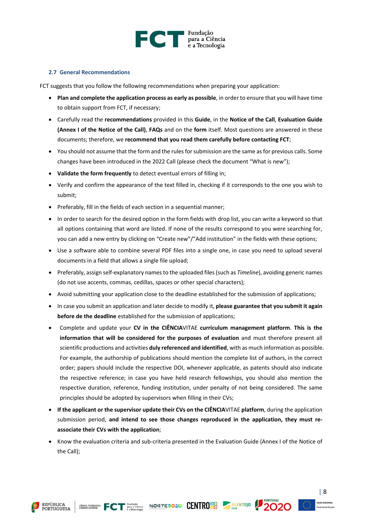

#### <span id="page-8-0"></span>**2.7 General Recommendations**

FCT suggests that you follow the following recommendations when preparing your application:

- **Plan and complete the application process as early as possible**, in order to ensure that you will have time to obtain support from FCT, if necessary;
- Carefully read the **recommendations** provided in this **Guide**, in the **Notice of the Call**, **Evaluation Guide (Annex I of the Notice of the Call)**, **FAQs** and on the **form** itself. Most questions are answered in these documents; therefore, we **recommend that you read them carefully before contacting FCT**;
- You should not assume that the form and the rules for submission are the same as for previous calls. Some changes have been introduced in the 2022 Call (please check the document "What is new");
- **Validate the form frequently** to detect eventual errors of filling in;
- Verify and confirm the appearance of the text filled in, checking if it corresponds to the one you wish to submit;
- Preferably, fill in the fields of each section in a sequential manner;
- In order to search for the desired option in the form fields with drop list, you can write a keyword so that all options containing that word are listed. If none of the results correspond to you were searching for, you can add a new entry by clicking on "Create new"/"Add institution" in the fields with these options;
- Use a software able to combine several PDF files into a single one, in case you need to upload several documents in a field that allows a single file upload;
- Preferably, assign self-explanatory names to the uploaded files (such as *Timeline*), avoiding generic names (do not use accents, commas, cedillas, spaces or other special characters);
- Avoid submitting your application close to the deadline established for the submission of applications;
- In case you submit an application and later decide to modify it, **please guarantee that you submit it again before de the deadline** established for the submission of applications;
- Complete and update your **CV in the CIÊNCIA**VITAE **curriculum management platform**. **This is the information that will be considered for the purposes of evaluation** and must therefore present all scientific productions and activities **duly referenced and identified**, with as much information as possible. For example, the authorship of publications should mention the complete list of authors, in the correct order; papers should include the respective DOI, whenever applicable, as patents should also indicate the respective reference; in case you have held research fellowships, you should also mention the respective duration, reference, funding institution, under penalty of not being considered. The same principles should be adopted by supervisors when filling in their CVs;
- **If the applicant or the supervisor update their CVs on the CIÊNCIA**VITAE **platform**, during the application submission period, **and intend to see those changes reproduced in the application, they must reassociate their CVs with the application**;
- Know the evaluation criteria and sub-criteria presented in the Evaluation Guide (Annex I of the Notice of the Call);









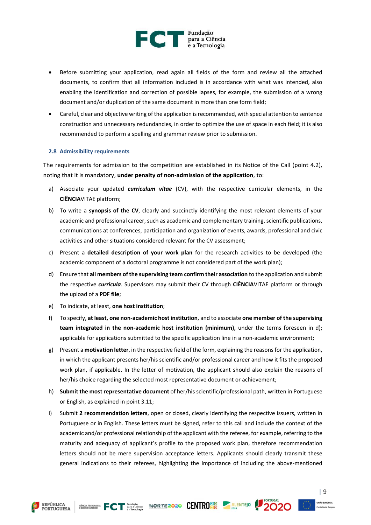

- Before submitting your application, read again all fields of the form and review all the attached documents, to confirm that all information included is in accordance with what was intended, also enabling the identification and correction of possible lapses, for example, the submission of a wrong document and/or duplication of the same document in more than one form field;
- Careful, clear and objective writing of the application is recommended, with special attention to sentence construction and unnecessary redundancies, in order to optimize the use of space in each field; it is also recommended to perform a spelling and grammar review prior to submission.

#### <span id="page-9-0"></span>**2.8 Admissibility requirements**

The requirements for admission to the competition are established in its Notice of the Call (point 4.2), noting that it is mandatory, **under penalty of non-admission of the application**, to:

- a) Associate your updated *curriculum vitae* (CV), with the respective curricular elements, in the **CIÊNCIA**VITAE platform;
- b) To write a **synopsis of the CV**, clearly and succinctly identifying the most relevant elements of your academic and professional career, such as academic and complementary training, scientific publications, communications at conferences, participation and organization of events, awards, professional and civic activities and other situations considered relevant for the CV assessment;
- c) Present a **detailed description of your work plan** for the research activities to be developed (the academic component of a doctoral programme is not considered part of the work plan);
- d) Ensure that **all members of the supervising team confirm their association** to the application and submit the respective *curricula*. Supervisors may submit their CV through **CIÊNCIA**VITAE platform or through the upload of a **PDF file**;
- e) To indicate, at least, **one host institution**;
- f) To specify, **at least, one non-academic host institution**, and to associate **one member of the supervising team integrated in the non-academic host institution (minimum),** under the terms foreseen in d); applicable for applications submitted to the specific application line in a non-academic environment;
- g) Present a **motivation letter**, in the respective field of the form, explaining the reasons for the application, in which the applicant presents her/his scientific and/or professional career and how it fits the proposed work plan, if applicable. In the letter of motivation, the applicant should also explain the reasons of her/his choice regarding the selected most representative document or achievement;
- h) **Submit the most representative document** of her/his scientific/professional path, written in Portuguese or English, as explained in point 3.11;
- i) Submit **2 recommendation letters**, open or closed, clearly identifying the respective issuers, written in Portuguese or in English. These letters must be signed, refer to this call and include the context of the academic and/or professional relationship of the applicant with the referee, for example, referring to the maturity and adequacy of applicant's profile to the proposed work plan, therefore recommendation letters should not be mere supervision acceptance letters. Applicants should clearly transmit these general indications to their referees, highlighting the importance of including the above-mentioned





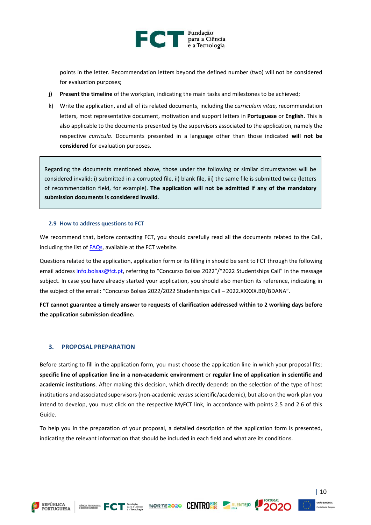

points in the letter. Recommendation letters beyond the defined number (two) will not be considered for evaluation purposes;

- **j) Present the timeline** of the workplan, indicating the main tasks and milestones to be achieved;
- k) Write the application, and all of its related documents, including the *curriculum vitae*, recommendation letters, most representative document, motivation and support letters in **Portuguese** or **English**. This is also applicable to the documents presented by the supervisors associated to the application, namely the respective *curricula*. Documents presented in a language other than those indicated **will not be considered** for evaluation purposes.

Regarding the documents mentioned above, those under the following or similar circumstances will be considered invalid: i) submitted in a corrupted file, ii) blank file, iii) the same file is submitted twice (letters of recommendation field, for example). **The application will not be admitted if any of the mandatory submission documents is considered invalid**.

#### <span id="page-10-0"></span>**2.9 How to address questions to FCT**

We recommend that, before contacting FCT, you should carefully read all the documents related to the Call, including the list o[f FAQs,](https://www.fct.pt/apoios/bolsas/concursos/docs/Bolsas_2022_FAQs_EN.pdf) available at the FCT website.

Questions related to the application, application form or its filling in should be sent to FCT through the following email address [info.bolsas@fct.pt,](mailto:info.bolsas@fct.pt) referring to "Concurso Bolsas 2022"/"2022 Studentships Call" in the message subject. In case you have already started your application, you should also mention its reference, indicating in the subject of the email: "Concurso Bolsas 2022/2022 Studentships Call – 2022.XXXXX.BD/BDANA".

**FCT cannot guarantee a timely answer to requests of clarification addressed within to 2 working days before the application submission deadline.**

#### <span id="page-10-1"></span>**3. PROPOSAL PREPARATION**

Before starting to fill in the application form, you must choose the application line in which your proposal fits: **specific line of application line in a non-academic environment** or **regular line of application in scientific and academic institutions**. After making this decision, which directly depends on the selection of the type of host institutions and associated supervisors (non-academic *versus* scientific/academic), but also on the work plan you intend to develop, you must click on the respective MyFCT link, in accordance with points 2.5 and 2.6 of this Guide.

To help you in the preparation of your proposal, a detailed description of the application form is presented, indicating the relevant information that should be included in each field and what are its conditions.







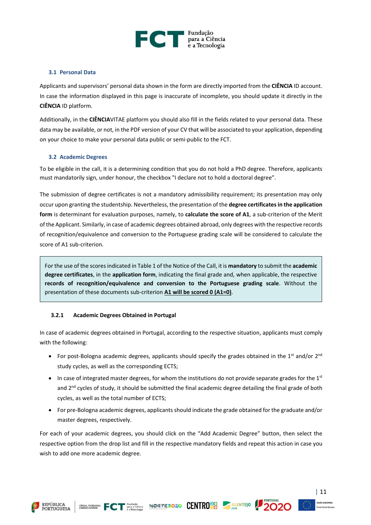

#### <span id="page-11-0"></span>**3.1 Personal Data**

Applicants and supervisors' personal data shown in the form are directly imported from the **CIÊNCIA** ID account. In case the information displayed in this page is inaccurate of incomplete, you should update it directly in the **CIÊNCIA** ID platform.

Additionally, in the **CIÊNCIA**VITAE platform you should also fill in the fields related to your personal data. These data may be available, or not, in the PDF version of your CV that will be associated to your application, depending on your choice to make your personal data public or semi-public to the FCT.

#### <span id="page-11-1"></span>**3.2 Academic Degrees**

To be eligible in the call, it is a determining condition that you do not hold a PhD degree. Therefore, applicants must mandatorily sign, under honour, the checkbox "I declare not to hold a doctoral degree".

The submission of degree certificates is not a mandatory admissibility requirement; its presentation may only occur upon granting the studentship. Nevertheless, the presentation of the **degree certificates in the application form** is determinant for evaluation purposes, namely, to **calculate the score of A1**, a sub-criterion of the Merit of the Applicant. Similarly, in case of academic degrees obtained abroad, only degrees with the respective records of recognition/equivalence and conversion to the Portuguese grading scale will be considered to calculate the score of A1 sub-criterion.

For the use of the scores indicated in Table 1 of the Notice of the Call, it is **mandatory** to submit the **academic degree certificates**, in the **application form**, indicating the final grade and, when applicable, the respective **records of recognition/equivalence and conversion to the Portuguese grading scale**. Without the presentation of these documents sub-criterion **A1 will be scored 0 (A1=0)**.

#### <span id="page-11-2"></span>**3.2.1 Academic Degrees Obtained in Portugal**

In case of academic degrees obtained in Portugal, according to the respective situation, applicants must comply with the following:

- For post-Bologna academic degrees, applicants should specify the grades obtained in the  $1^{st}$  and/or  $2^{nd}$ study cycles, as well as the corresponding ECTS;
- In case of integrated master degrees, for whom the institutions do not provide separate grades for the  $1^{st}$ and 2<sup>nd</sup> cycles of study, it should be submitted the final academic degree detailing the final grade of both cycles, as well as the total number of ECTS;
- For pre-Bologna academic degrees, applicants should indicate the grade obtained for the graduate and/or master degrees, respectively.

For each of your academic degrees, you should click on the "Add Academic Degree" button, then select the respective option from the drop list and fill in the respective mandatory fields and repeat this action in case you wish to add one more academic degree.







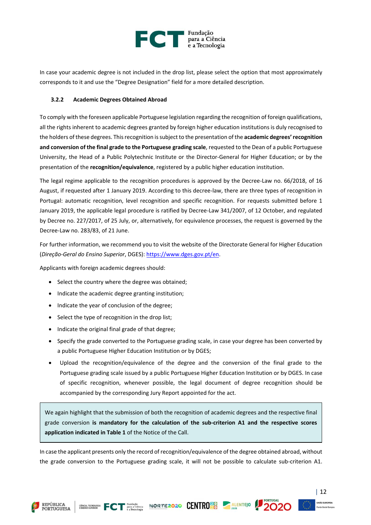

In case your academic degree is not included in the drop list, please select the option that most approximately corresponds to it and use the "Degree Designation" field for a more detailed description.

#### <span id="page-12-0"></span>**3.2.2 Academic Degrees Obtained Abroad**

To comply with the foreseen applicable Portuguese legislation regarding the recognition of foreign qualifications, all the rights inherent to academic degrees granted by foreign higher education institutions is duly recognised to the holders of these degrees. This recognition is subject to the presentation of the **academic degrees'recognition and conversion of the final grade to the Portuguese grading scale**, requested to the Dean of a public Portuguese University, the Head of a Public Polytechnic Institute or the Director-General for Higher Education; or by the presentation of the **recognition/equivalence**, registered by a public higher education institution.

The legal regime applicable to the recognition procedures is approved by the Decree-Law no. 66/2018, of 16 August, if requested after 1 January 2019. According to this decree-law, there are three types of recognition in Portugal: automatic recognition, level recognition and specific recognition. For requests submitted before 1 January 2019, the applicable legal procedure is ratified by Decree-Law 341/2007, of 12 October, and regulated by Decree no. 227/2017, of 25 July, or, alternatively, for equivalence processes, the request is governed by the Decree-Law no. 283/83, of 21 June.

For further information, we recommend you to visit the website of the Directorate General for Higher Education (*Direção-Geral do Ensino Superior*, DGES): [https://www.dges.gov.pt/en.](https://www.dges.gov.pt/en)

Applicants with foreign academic degrees should:

- Select the country where the degree was obtained;
- Indicate the academic degree granting institution;
- Indicate the year of conclusion of the degree;
- Select the type of recognition in the drop list;
- Indicate the original final grade of that degree;
- Specify the grade converted to the Portuguese grading scale, in case your degree has been converted by a public Portuguese Higher Education Institution or by DGES;
- Upload the recognition/equivalence of the degree and the conversion of the final grade to the Portuguese grading scale issued by a public Portuguese Higher Education Institution or by DGES. In case of specific recognition, whenever possible, the legal document of degree recognition should be accompanied by the corresponding Jury Report appointed for the act.

We again highlight that the submission of both the recognition of academic degrees and the respective final grade conversion **is mandatory for the calculation of the sub-criterion A1 and the respective scores application indicated in Table 1** of the Notice of the Call.

In case the applicant presents only the record of recognition/equivalence of the degree obtained abroad, without the grade conversion to the Portuguese grading scale, it will not be possible to calculate sub-criterion A1.







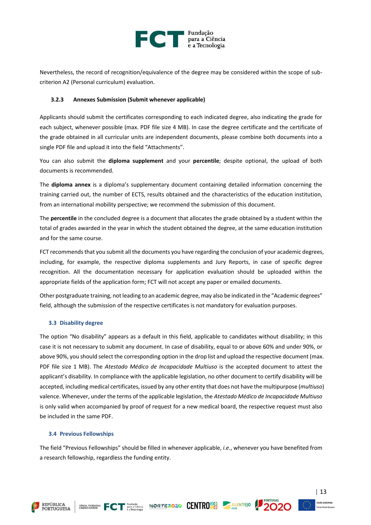

Nevertheless, the record of recognition/equivalence of the degree may be considered within the scope of subcriterion A2 (Personal curriculum) evaluation.

#### <span id="page-13-0"></span>**3.2.3 Annexes Submission (Submit whenever applicable)**

Applicants should submit the certificates corresponding to each indicated degree, also indicating the grade for each subject, whenever possible (max. PDF file size 4 MB). In case the degree certificate and the certificate of the grade obtained in all curricular units are independent documents, please combine both documents into a single PDF file and upload it into the field "Attachments".

You can also submit the **diploma supplement** and your **percentile**; despite optional, the upload of both documents is recommended.

The **diploma annex** is a diploma's supplementary document containing detailed information concerning the training carried out, the number of ECTS, results obtained and the characteristics of the education institution, from an international mobility perspective; we recommend the submission of this document.

The **percentile** in the concluded degree is a document that allocates the grade obtained by a student within the total of grades awarded in the year in which the student obtained the degree, at the same education institution and for the same course.

FCT recommends that you submit all the documents you have regarding the conclusion of your academic degrees, including, for example, the respective diploma supplements and Jury Reports, in case of specific degree recognition. All the documentation necessary for application evaluation should be uploaded within the appropriate fields of the application form; FCT will not accept any paper or emailed documents.

Other postgraduate training, not leading to an academic degree, may also be indicated in the "Academic degrees" field, although the submission of the respective certificates is not mandatory for evaluation purposes.

#### <span id="page-13-1"></span>**3.3 Disability degree**

The option "No disability" appears as a default in this field, applicable to candidates without disability; in this case it is not necessary to submit any document. In case of disability, equal to or above 60% and under 90%, or above 90%, you should select the corresponding option in the drop list and upload the respective document (max. PDF file size 1 MB). The *Atestado Médico de Incapacidade Multiuso* is the accepted document to attest the applicant's disability. In compliance with the applicable legislation, no other document to certify disability will be accepted, including medical certificates, issued by any other entity that does not have the multipurpose (*multiuso*) valence. Whenever, under the terms of the applicable legislation, the *Atestado Médico de Incapacidade Multiuso* is only valid when accompanied by proof of request for a new medical board, the respective request must also be included in the same PDF.

#### <span id="page-13-2"></span>**3.4 Previous Fellowships**

**REPÚBLICA PORTUGUESA** 

The field "Previous Fellowships" should be filled in whenever applicable, *i.e.*, whenever you have benefited from a research fellowship, regardless the funding entity.

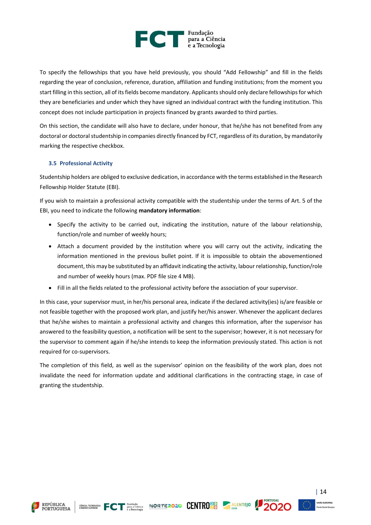

To specify the fellowships that you have held previously, you should "Add Fellowship" and fill in the fields regarding the year of conclusion, reference, duration, affiliation and funding institutions; from the moment you start filling in this section, all of itsfields become mandatory. Applicants should only declare fellowships for which they are beneficiaries and under which they have signed an individual contract with the funding institution. This concept does not include participation in projects financed by grants awarded to third parties.

On this section, the candidate will also have to declare, under honour, that he/she has not benefited from any doctoral or doctoral studentship in companies directly financed by FCT, regardless of its duration, by mandatorily marking the respective checkbox.

#### <span id="page-14-0"></span>**3.5 Professional Activity**

Studentship holders are obliged to exclusive dedication, in accordance with the terms established in the Research Fellowship Holder Statute (EBI).

If you wish to maintain a professional activity compatible with the studentship under the terms of Art. 5 of the EBI, you need to indicate the following **mandatory information**:

- Specify the activity to be carried out, indicating the institution, nature of the labour relationship, function/role and number of weekly hours;
- Attach a document provided by the institution where you will carry out the activity, indicating the information mentioned in the previous bullet point. If it is impossible to obtain the abovementioned document, this may be substituted by an affidavit indicating the activity, labour relationship, function/role and number of weekly hours (max. PDF file size 4 MB).
- Fill in all the fields related to the professional activity before the association of your supervisor.

In this case, your supervisor must, in her/his personal area, indicate if the declared activity(ies) is/are feasible or not feasible together with the proposed work plan, and justify her/his answer. Whenever the applicant declares that he/she wishes to maintain a professional activity and changes this information, after the supervisor has answered to the feasibility question, a notification will be sent to the supervisor; however, it is not necessary for the supervisor to comment again if he/she intends to keep the information previously stated. This action is not required for co-supervisors.

The completion of this field, as well as the supervisor' opinion on the feasibility of the work plan, does not invalidate the need for information update and additional clarifications in the contracting stage, in case of granting the studentship.





$$
\begin{array}{cc}\n\text{G}_0 \\
\text{Ciência} \\
\text{molovia}\n\end{array}\n\begin{array}{c}\n\text{NORTE}2020 \\
\text{NORTE}202\n\end{array}
$$



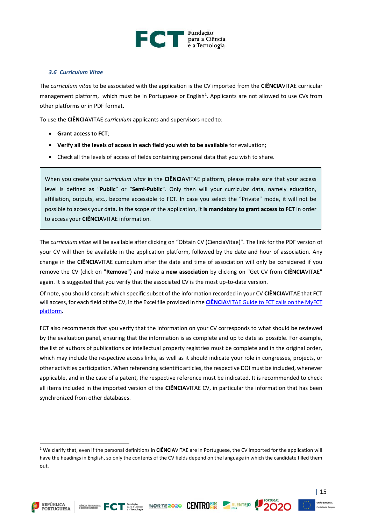

#### <span id="page-15-0"></span>*3.6 Curriculum Vitae*

The *curriculum vitae* to be associated with the application is the CV imported from the **CIÊNCIA**VITAE curricular management platform, which must be in Portuguese or English<sup>1</sup>. Applicants are not allowed to use CVs from other platforms or in PDF format.

To use the **CIÊNCIA**VITAE *curriculum* applicants and supervisors need to:

- **Grant access to FCT**;
- **Verify all the levels of access in each field you wish to be available** for evaluation;
- Check all the levels of access of fields containing personal data that you wish to share.

When you create your *curriculum vitae* in the **CIÊNCIA**VITAE platform, please make sure that your access level is defined as "**Public**" or "**Semi-Public**". Only then will your curricular data, namely education, affiliation, outputs, etc., become accessible to FCT. In case you select the "Private" mode, it will not be possible to access your data. In the scope of the application, it **is mandatory to grant access to FCT** in order to access your **CIÊNCIA**VITAE information.

The *curriculum vitae* will be available after clicking on "Obtain CV (CienciaVitae)". The link for the PDF version of your CV will then be available in the application platform, followed by the date and hour of association. Any change in the **CIÊNCIA**VITAE curriculum after the date and time of association will only be considered if you remove the CV (click on "**Remove**") and make a **new association** by clicking on "Get CV from **CIÊNCIA**VITAE" again. It is suggested that you verify that the associated CV is the most up-to-date version.

Of note, you should consult which specific subset of the information recorded in your CV **CIÊNCIA**VITAE that FCT will access, for each field of the CV, in the Excel file provided in the **CIÊNCIA**[VITAE Guide to FCT calls on the MyFCT](https://www.fct.pt/documentos/cienciavitae/CIENCIAVITAE_Guide_to_FCT_calls_on_the_MyFCT_platform.pdf)  [platform.](https://www.fct.pt/documentos/cienciavitae/CIENCIAVITAE_Guide_to_FCT_calls_on_the_MyFCT_platform.pdf)

FCT also recommends that you verify that the information on your CV corresponds to what should be reviewed by the evaluation panel, ensuring that the information is as complete and up to date as possible. For example, the list of authors of publications or intellectual property registries must be complete and in the original order, which may include the respective access links, as well as it should indicate your role in congresses, projects, or other activities participation. When referencing scientific articles, the respective DOI must be included, whenever applicable, and in the case of a patent, the respective reference must be indicated. It is recommended to check all items included in the imported version of the **CIÊNCIA**VITAE CV, in particular the information that has been synchronized from other databases.









<sup>1</sup> We clarify that, even if the personal definitions in **CIÊNCIA**VITAE are in Portuguese, the CV imported for the application will have the headings in English, so only the contents of the CV fields depend on the language in which the candidate filled them out.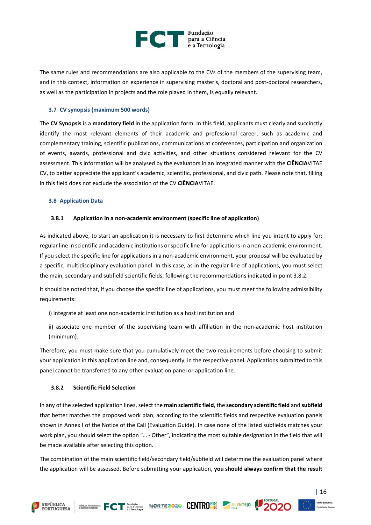

The same rules and recommendations are also applicable to the CVs of the members of the supervising team, and in this context, information on experience in supervising master's, doctoral and post-doctoral researchers, as well as the participation in projects and the role played in them, is equally relevant.

#### <span id="page-16-0"></span>**3.7 CV synopsis (maximum 500 words)**

The **CV Synopsis** is a **mandatory field** in the application form. In this field, applicants must clearly and succinctly identify the most relevant elements of their academic and professional career, such as academic and complementary training, scientific publications, communications at conferences, participation and organization of events, awards, professional and civic activities, and other situations considered relevant for the CV assessment. This information will be analysed by the evaluators in an integrated manner with the **CIÊNCIA**VITAE CV, to better appreciate the applicant's academic, scientific, professional, and civic path. Please note that, filling in this field does not exclude the association of the CV **CIÊNCIA**VITAE.

#### <span id="page-16-1"></span>**3.8 Application Data**

#### <span id="page-16-2"></span>**3.8.1 Application in a non-academic environment (specific line of application)**

As indicated above, to start an application it is necessary to first determine which line you intent to apply for: regular line in scientific and academic institutions or specific line for applications in a non-academic environment. If you select the specific line for applications in a non-academic environment, your proposal will be evaluated by a specific, multidisciplinary evaluation panel. In this case, as in the regular line of applications, you must select the main, secondary and subfield scientific fields, following the recommendations indicated in point 3.8.2.

It should be noted that, if you choose the specific line of applications, you must meet the following admissibility requirements:

i) integrate at least one non-academic institution as a host institution and

ii) associate one member of the supervising team with affiliation in the non-academic host institution (minimum).

Therefore, you must make sure that you cumulatively meet the two requirements before choosing to submit your application in this application line and, consequently, in the respective panel. Applications submitted to this panel cannot be transferred to any other evaluation panel or application line.

#### <span id="page-16-3"></span>**3.8.2 Scientific Field Selection**

In any of the selected application lines, select the **main scientific field**, the **secondary scientific field** and **subfield** that better matches the proposed work plan, according to the scientific fields and respective evaluation panels shown in Annex I of the Notice of the Call (Evaluation Guide). In case none of the listed subfields matches your work plan, you should select the option "… - Other", indicating the most suitable designation in the field that will be made available after selecting this option.

The combination of the main scientific field/secondary field/subfield will determine the evaluation panel where the application will be assessed. Before submitting your application, **you should always confirm that the result** 





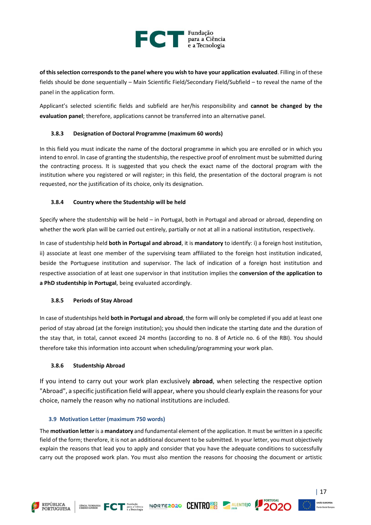

**of this selection corresponds to the panel where you wish to have your application evaluated**. Filling in of these fields should be done sequentially – Main Scientific Field/Secondary Field/Subfield – to reveal the name of the panel in the application form.

Applicant's selected scientific fields and subfield are her/his responsibility and **cannot be changed by the evaluation panel**; therefore, applications cannot be transferred into an alternative panel.

#### <span id="page-17-0"></span>**3.8.3 Designation of Doctoral Programme (maximum 60 words)**

In this field you must indicate the name of the doctoral programme in which you are enrolled or in which you intend to enrol. In case of granting the studentship, the respective proof of enrolment must be submitted during the contracting process. It is suggested that you check the exact name of the doctoral program with the institution where you registered or will register; in this field, the presentation of the doctoral program is not requested, nor the justification of its choice, only its designation.

#### <span id="page-17-1"></span>**3.8.4 Country where the Studentship will be held**

Specify where the studentship will be held – in Portugal, both in Portugal and abroad or abroad, depending on whether the work plan will be carried out entirely, partially or not at all in a national institution, respectively.

In case of studentship held **both in Portugal and abroad**, it is **mandatory** to identify: i) a foreign host institution, ii) associate at least one member of the supervising team affiliated to the foreign host institution indicated, beside the Portuguese institution and supervisor. The lack of indication of a foreign host institution and respective association of at least one supervisor in that institution implies the **conversion of the application to a PhD studentship in Portugal**, being evaluated accordingly.

#### <span id="page-17-2"></span>**3.8.5 Periods of Stay Abroad**

In case of studentships held **both in Portugal and abroad**, the form will only be completed if you add at least one period of stay abroad (at the foreign institution); you should then indicate the starting date and the duration of the stay that, in total, cannot exceed 24 months (according to no. 8 of Article no. 6 of the RBI). You should therefore take this information into account when scheduling/programming your work plan.

#### <span id="page-17-3"></span>**3.8.6 Studentship Abroad**

If you intend to carry out your work plan exclusively **abroad**, when selecting the respective option "Abroad", a specific justification field will appear, where you should clearly explain the reasons for your choice, namely the reason why no national institutions are included.

#### <span id="page-17-4"></span>**3.9 Motivation Letter (maximum 750 words)**

The **motivation letter** is a **mandatory** and fundamental element of the application. It must be written in a specific field of the form; therefore, it is not an additional document to be submitted. In your letter, you must objectively explain the reasons that lead you to apply and consider that you have the adequate conditions to successfully carry out the proposed work plan. You must also mention the reasons for choosing the document or artistic







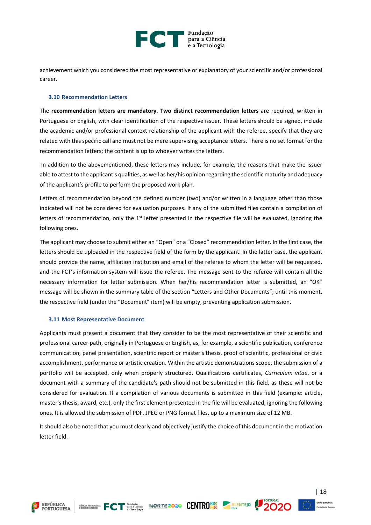

achievement which you considered the most representative or explanatory of your scientific and/or professional career.

#### <span id="page-18-0"></span>**3.10 Recommendation Letters**

The **recommendation letters are mandatory**. **Two distinct recommendation letters** are required, written in Portuguese or English, with clear identification of the respective issuer. These letters should be signed, include the academic and/or professional context relationship of the applicant with the referee, specify that they are related with this specific call and must not be mere supervising acceptance letters. There is no set format for the recommendation letters; the content is up to whoever writes the letters.

In addition to the abovementioned, these letters may include, for example, the reasons that make the issuer able to attest to the applicant's qualities, as well as her/his opinion regarding the scientific maturity and adequacy of the applicant's profile to perform the proposed work plan.

Letters of recommendation beyond the defined number (two) and/or written in a language other than those indicated will not be considered for evaluation purposes. If any of the submitted files contain a compilation of letters of recommendation, only the  $1<sup>st</sup>$  letter presented in the respective file will be evaluated, ignoring the following ones.

The applicant may choose to submit either an "Open" or a "Closed" recommendation letter. In the first case, the letters should be uploaded in the respective field of the form by the applicant. In the latter case, the applicant should provide the name, affiliation institution and email of the referee to whom the letter will be requested, and the FCT's information system will issue the referee. The message sent to the referee will contain all the necessary information for letter submission. When her/his recommendation letter is submitted, an "OK" message will be shown in the summary table of the section "Letters and Other Documents"; until this moment, the respective field (under the "Document" item) will be empty, preventing application submission.

#### <span id="page-18-1"></span>**3.11 Most Representative Document**

Applicants must present a document that they consider to be the most representative of their scientific and professional career path, originally in Portuguese or English, as, for example, a scientific publication, conference communication, panel presentation, scientific report or master's thesis, proof of scientific, professional or civic accomplishment, performance or artistic creation. Within the artistic demonstrations scope, the submission of a portfolio will be accepted, only when properly structured. Qualifications certificates, *Curriculum vitae*, or a document with a summary of the candidate's path should not be submitted in this field, as these will not be considered for evaluation. If a compilation of various documents is submitted in this field (example: article, master's thesis, award, etc.), only the first element presented in the file will be evaluated, ignoring the following ones. It is allowed the submission of PDF, JPEG or PNG format files, up to a maximum size of 12 MB.

It should also be noted that you must clearly and objectively justify the choice of this document in the motivation letter field.











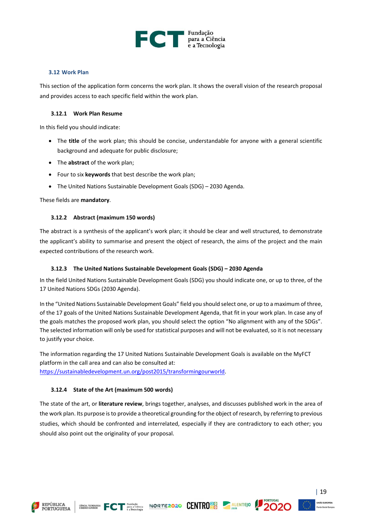

#### <span id="page-19-0"></span>**3.12 Work Plan**

This section of the application form concerns the work plan. It shows the overall vision of the research proposal and provides access to each specific field within the work plan.

#### <span id="page-19-1"></span>**3.12.1 Work Plan Resume**

In this field you should indicate:

- The **title** of the work plan; this should be concise, understandable for anyone with a general scientific background and adequate for public disclosure;
- The **abstract** of the work plan;
- Four to six **keywords** that best describe the work plan;
- The United Nations Sustainable Development Goals (SDG) 2030 Agenda.

<span id="page-19-2"></span>These fields are **mandatory**.

#### **3.12.2 Abstract (maximum 150 words)**

The abstract is a synthesis of the applicant's work plan; it should be clear and well structured, to demonstrate the applicant's ability to summarise and present the object of research, the aims of the project and the main expected contributions of the research work.

#### <span id="page-19-3"></span>**3.12.3 The United Nations Sustainable Development Goals (SDG) – 2030 Agenda**

In the field United Nations Sustainable Development Goals (SDG) you should indicate one, or up to three, of the 17 United Nations SDGs (2030 Agenda).

In the "United Nations Sustainable Development Goals" field you should select one, or up to a maximum of three, of the 17 goals of the United Nations Sustainable Development Agenda, that fit in your work plan. In case any of the goals matches the proposed work plan, you should select the option "No alignment with any of the SDGs". The selected information will only be used for statistical purposes and will not be evaluated, so it is not necessary to justify your choice.

The information regarding the 17 United Nations Sustainable Development Goals is available on the MyFCT platform in the call area and can also be consulted at: [https://sustainabledevelopment.un.org/post2015/transformingourworld.](https://sustainabledevelopment.un.org/post2015/transformingourworld)

#### <span id="page-19-4"></span>**3.12.4 State of the Art (maximum 500 words)**

The state of the art, or **literature review**, brings together, analyses, and discusses published work in the area of the work plan. Its purpose is to provide a theoretical grounding for the object of research, by referring to previous studies, which should be confronted and interrelated, especially if they are contradictory to each other; you should also point out the originality of your proposal.







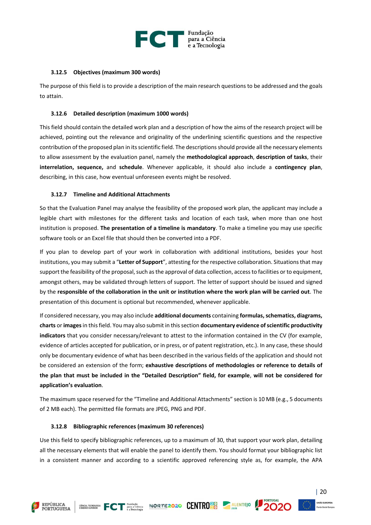

#### <span id="page-20-0"></span>**3.12.5 Objectives (maximum 300 words)**

The purpose of this field is to provide a description of the main research questions to be addressed and the goals to attain.

#### <span id="page-20-1"></span>**3.12.6 Detailed description (maximum 1000 words)**

This field should contain the detailed work plan and a description of how the aims of the research project will be achieved, pointing out the relevance and originality of the underlining scientific questions and the respective contribution of the proposed plan in its scientific field. The descriptions should provide all the necessary elements to allow assessment by the evaluation panel, namely the **methodological approach**, **description of tasks**, their **interrelation, sequence,** and **schedule**. Whenever applicable, it should also include a **contingency plan**, describing, in this case, how eventual unforeseen events might be resolved.

#### <span id="page-20-2"></span>**3.12.7 Timeline and Additional Attachments**

So that the Evaluation Panel may analyse the feasibility of the proposed work plan, the applicant may include a legible chart with milestones for the different tasks and location of each task, when more than one host institution is proposed. **The presentation of a timeline is mandatory**. To make a timeline you may use specific software tools or an Excel file that should then be converted into a PDF.

If you plan to develop part of your work in collaboration with additional institutions, besides your host institutions, you may submit a "Letter of Support", attesting for the respective collaboration. Situations that may support the feasibility of the proposal, such as the approval of data collection, access to facilities or to equipment, amongst others, may be validated through letters of support. The letter of support should be issued and signed by the **responsible of the collaboration in the unit or institution where the work plan will be carried out**. The presentation of this document is optional but recommended, whenever applicable.

If considered necessary, you may also include **additional documents** containing **formulas, schematics, diagrams, charts** or **images**in this field. You may also submit in this section **documentary evidence of scientific productivity indicators** that you consider necessary/relevant to attest to the information contained in the CV (for example, evidence of articles accepted for publication, or in press, or of patent registration, etc.). In any case, these should only be documentary evidence of what has been described in the various fields of the application and should not be considered an extension of the form; **exhaustive descriptions of methodologies or reference to details of the plan that must be included in the "Detailed Description" field, for example**, **will not be considered for application's evaluation**.

The maximum space reserved for the "Timeline and Additional Attachments" section is 10 MB (e.g., 5 documents of 2 MB each). The permitted file formats are JPEG, PNG and PDF.

#### <span id="page-20-3"></span>**3.12.8 Bibliographic references (maximum 30 references)**

Use this field to specify bibliographic references, up to a maximum of 30, that support your work plan, detailing all the necessary elements that will enable the panel to identify them. You should format your bibliographic list in a consistent manner and according to a scientific approved referencing style as, for example, the APA



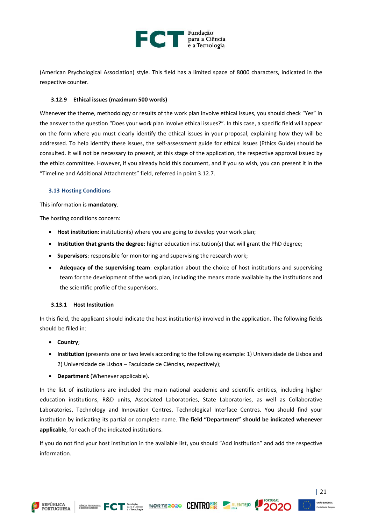

(American Psychological Association) style. This field has a limited space of 8000 characters, indicated in the respective counter.

#### <span id="page-21-0"></span>**3.12.9 Ethical issues (maximum 500 words)**

Whenever the theme, methodology or results of the work plan involve ethical issues, you should check "Yes" in the answer to the question "Does your work plan involve ethical issues?". In this case, a specific field will appear on the form where you must clearly identify the ethical issues in your proposal, explaining how they will be addressed. To help identify these issues, the self-assessment guide for ethical issues (Ethics Guide) should be consulted. It will not be necessary to present, at this stage of the application, the respective approval issued by the ethics committee. However, if you already hold this document, and if you so wish, you can present it in the "Timeline and Additional Attachments" field, referred in point 3.12.7.

#### <span id="page-21-1"></span>**3.13 Hosting Conditions**

This information is **mandatory**.

The hosting conditions concern:

- **Host institution**: institution(s) where you are going to develop your work plan;
- **Institution that grants the degree**: higher education institution(s) that will grant the PhD degree;
- **Supervisors**: responsible for monitoring and supervising the research work;
- **Adequacy of the supervising team**: explanation about the choice of host institutions and supervising team for the development of the work plan, including the means made available by the institutions and the scientific profile of the supervisors.

#### <span id="page-21-2"></span>**3.13.1 Host Institution**

In this field, the applicant should indicate the host institution(s) involved in the application. The following fields should be filled in:

- **Country**;
- **Institution** (presents one or two levels according to the following example: 1) Universidade de Lisboa and 2) Universidade de Lisboa – Faculdade de Ciências, respectively);
- **Department** (Whenever applicable).

In the list of institutions are included the main national academic and scientific entities, including higher education institutions, R&D units, Associated Laboratories, State Laboratories, as well as Collaborative Laboratories, Technology and Innovation Centres, Technological Interface Centres. You should find your institution by indicating its partial or complete name. **The field "Department" should be indicated whenever applicable**, for each of the indicated institutions.

If you do not find your host institution in the available list, you should "Add institution" and add the respective information.







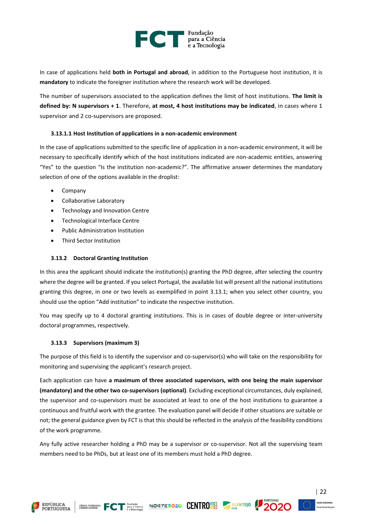

In case of applications held **both in Portugal and abroad**, in addition to the Portuguese host institution, it is **mandatory** to indicate the foreigner institution where the research work will be developed.

The number of supervisors associated to the application defines the limit of host institutions. **The limit is defined by: N supervisors + 1**. Therefore, **at most, 4 host institutions may be indicated**, in cases where 1 supervisor and 2 co-supervisors are proposed.

#### <span id="page-22-0"></span>**3.13.1.1 Host Institution of applications in a non-academic environment**

In the case of applications submitted to the specific line of application in a non-academic environment, it will be necessary to specifically identify which of the host institutions indicated are non-academic entities, answering "Yes" to the question "Is the institution non-academic?". The affirmative answer determines the mandatory selection of one of the options available in the droplist:

- Company
- Collaborative Laboratory
- Technology and Innovation Centre
- Technological Interface Centre
- Public Administration Institution
- <span id="page-22-1"></span>• Third Sector Institution

#### **3.13.2 Doctoral Granting Institution**

In this area the applicant should indicate the institution(s) granting the PhD degree, after selecting the country where the degree will be granted. If you select Portugal, the available list will present all the national institutions granting this degree, in one or two levels as exemplified in point 3.13.1; when you select other country, you should use the option "Add institution" to indicate the respective institution.

You may specify up to 4 doctoral granting institutions. This is in cases of double degree or inter-university doctoral programmes, respectively.

#### <span id="page-22-2"></span>**3.13.3 Supervisors (maximum 3)**

The purpose of this field is to identify the supervisor and co-supervisor(s) who will take on the responsibility for monitoring and supervising the applicant's research project.

Each application can have **a maximum of three associated supervisors, with one being the main supervisor (mandatory) and the other two co-supervisors (optional)**. Excluding exceptional circumstances, duly explained, the supervisor and co-supervisors must be associated at least to one of the host institutions to guarantee a continuous and fruitful work with the grantee. The evaluation panel will decide if other situations are suitable or not; the general guidance given by FCT is that this should be reflected in the analysis of the feasibility conditions of the work programme.

Any fully active researcher holding a PhD may be a supervisor or co-supervisor. Not all the supervising team members need to be PhDs, but at least one of its members must hold a PhD degree.



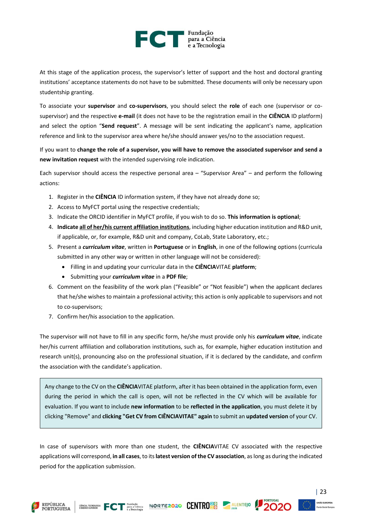### Fundação para a Ciência<br>e a Tecnologia

At this stage of the application process, the supervisor's letter of support and the host and doctoral granting institutions' acceptance statements do not have to be submitted. These documents will only be necessary upon studentship granting.

To associate your **supervisor** and **co-supervisors**, you should select the **role** of each one (supervisor or cosupervisor) and the respective **e-mail** (it does not have to be the registration email in the **CIÊNCIA** ID platform) and select the option "**Send request**". A message will be sent indicating the applicant's name, application reference and link to the supervisor area where he/she should answer yes/no to the association request.

If you want to **change the role of a supervisor, you will have to remove the associated supervisor and send a new invitation request** with the intended supervising role indication.

Each supervisor should access the respective personal area – "Supervisor Area" – and perform the following actions:

- 1. Register in the **CIÊNCIA** ID information system, if they have not already done so;
- 2. Access to MyFCT portal using the respective credentials;
- 3. Indicate the ORCID identifier in MyFCT profile, if you wish to do so. **This information is optional**;
- 4. **Indicate all of her/his current affiliation institutions**, including higher education institution and R&D unit, if applicable, or, for example, R&D unit and company, CoLab, State Laboratory, etc.;
- 5. Present a *curriculum vitae*, written in **Portuguese** or in **English**, in one of the following options (curricula submitted in any other way or written in other language will not be considered):
	- Filling in and updating your curricular data in the **CIÊNCIA**VITAE **platform**;
	- Submitting your *curriculum vitae* in a **PDF file**;
- 6. Comment on the feasibility of the work plan ("Feasible" or "Not feasible") when the applicant declares that he/she wishes to maintain a professional activity; this action is only applicable to supervisors and not to co-supervisors;
- 7. Confirm her/his association to the application.

The supervisor will not have to fill in any specific form, he/she must provide only his *curriculum vitae*, indicate her/his current affiliation and collaboration institutions, such as, for example, higher education institution and research unit(s), pronouncing also on the professional situation, if it is declared by the candidate, and confirm the association with the candidate's application.

Any change to the CV on the **CIÊNCIA**VITAE platform, after it has been obtained in the application form, even during the period in which the call is open, will not be reflected in the CV which will be available for evaluation. If you want to include **new information** to be **reflected in the application**, you must delete it by clicking "Remove" and **clicking "Get CV from CIÊNCIAVITAE" again** to submit an **updated version** of your CV.

In case of supervisors with more than one student, the **CIÊNCIA**VITAE CV associated with the respective applications will correspond, **in all cases**, to its **latest version of the CV association**, as long as during the indicated period for the application submission.

GENTRO BLOCK FOT Pundaction NORTE 2020 CENTRO BO ALENTEJO

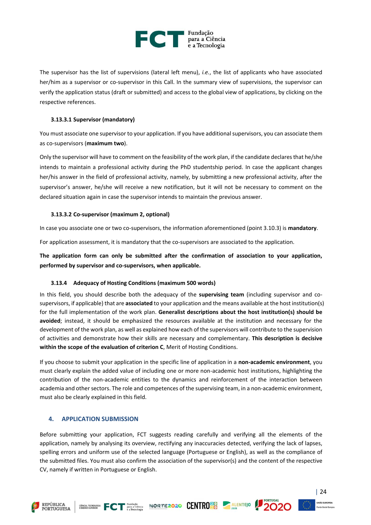

The supervisor has the list of supervisions (lateral left menu), *i.e.*, the list of applicants who have associated her/him as a supervisor or co-supervisor in this Call. In the summary view of supervisions, the supervisor can verify the application status (draft or submitted) and access to the global view of applications, by clicking on the respective references.

#### <span id="page-24-0"></span>**3.13.3.1 Supervisor (mandatory)**

You must associate one supervisor to your application. If you have additional supervisors, you can associate them as co-supervisors (**maximum two**).

Only the supervisor will have to comment on the feasibility of the work plan, if the candidate declares that he/she intends to maintain a professional activity during the PhD studentship period. In case the applicant changes her/his answer in the field of professional activity, namely, by submitting a new professional activity, after the supervisor's answer, he/she will receive a new notification, but it will not be necessary to comment on the declared situation again in case the supervisor intends to maintain the previous answer.

#### <span id="page-24-1"></span>**3.13.3.2 Co-supervisor (maximum 2, optional)**

In case you associate one or two co-supervisors, the information aforementioned (point 3.10.3) is **mandatory**.

For application assessment, it is mandatory that the co-supervisors are associated to the application.

**The application form can only be submitted after the confirmation of association to your application, performed by supervisor and co-supervisors, when applicable.**

#### <span id="page-24-2"></span>**3.13.4 Adequacy of Hosting Conditions (maximum 500 words)**

In this field, you should describe both the adequacy of the **supervising team** (including supervisor and cosupervisors, if applicable) that are **associated** to your application and the means available at the host institution(s) for the full implementation of the work plan. **Generalist descriptions about the host institution(s) should be avoided**; instead, it should be emphasized the resources available at the institution and necessary for the development of the work plan, as well as explained how each of the supervisors will contribute to the supervision of activities and demonstrate how their skills are necessary and complementary. **This description is decisive within the scope of the evaluation of criterion C**, Merit of Hosting Conditions.

If you choose to submit your application in the specific line of application in a **non-academic environment**, you must clearly explain the added value of including one or more non-academic host institutions, highlighting the contribution of the non-academic entities to the dynamics and reinforcement of the interaction between academia and other sectors. The role and competences of the supervising team, in a non-academic environment, must also be clearly explained in this field.

#### <span id="page-24-3"></span>**4. APPLICATION SUBMISSION**

Before submitting your application, FCT suggests reading carefully and verifying all the elements of the application, namely by analysing its overview, rectifying any inaccuracies detected, verifying the lack of lapses, spelling errors and uniform use of the selected language (Portuguese or English), as well as the compliance of the submitted files. You must also confirm the association of the supervisor(s) and the content of the respective CV, namely if written in Portuguese or English.